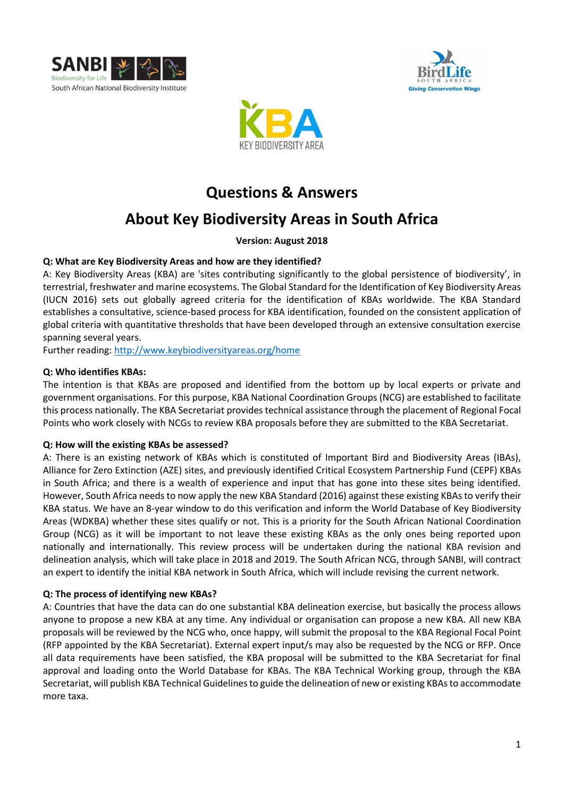





# **Questions & Answers**

# **About Key Biodiversity Areas in South Africa**

**Version: August 2018**

## **Q: What are Key Biodiversity Areas and how are they identified?**

A: Key Biodiversity Areas (KBA) are 'sites contributing significantly to the global persistence of biodiversity', in terrestrial, freshwater and marine ecosystems. The Global Standard for the Identification of Key Biodiversity Areas (IUCN 2016) sets out globally agreed criteria for the identification of KBAs worldwide. The KBA Standard establishes a consultative, science-based process for KBA identification, founded on the consistent application of global criteria with quantitative thresholds that have been developed through an extensive consultation exercise spanning several years.

Further reading: <http://www.keybiodiversityareas.org/home>

## **Q: Who identifies KBAs:**

The intention is that KBAs are proposed and identified from the bottom up by local experts or private and government organisations. For this purpose, KBA National Coordination Groups (NCG) are established to facilitate this process nationally. The KBA Secretariat provides technical assistance through the placement of Regional Focal Points who work closely with NCGs to review KBA proposals before they are submitted to the KBA Secretariat.

#### **Q: How will the existing KBAs be assessed?**

A: There is an existing network of KBAs which is constituted of Important Bird and Biodiversity Areas (IBAs), Alliance for Zero Extinction (AZE) sites, and previously identified Critical Ecosystem Partnership Fund (CEPF) KBAs in South Africa; and there is a wealth of experience and input that has gone into these sites being identified. However, South Africa needs to now apply the new KBA Standard (2016) against these existing KBAsto verify their KBA status. We have an 8-year window to do this verification and inform the World Database of Key Biodiversity Areas (WDKBA) whether these sites qualify or not. This is a priority for the South African National Coordination Group (NCG) as it will be important to not leave these existing KBAs as the only ones being reported upon nationally and internationally. This review process will be undertaken during the national KBA revision and delineation analysis, which will take place in 2018 and 2019. The South African NCG, through SANBI, will contract an expert to identify the initial KBA network in South Africa, which will include revising the current network.

#### **Q: The process of identifying new KBAs?**

A: Countries that have the data can do one substantial KBA delineation exercise, but basically the process allows anyone to propose a new KBA at any time. Any individual or organisation can propose a new KBA. All new KBA proposals will be reviewed by the NCG who, once happy, will submit the proposal to the KBA Regional Focal Point (RFP appointed by the KBA Secretariat). External expert input/s may also be requested by the NCG or RFP. Once all data requirements have been satisfied, the KBA proposal will be submitted to the KBA Secretariat for final approval and loading onto the World Database for KBAs. The KBA Technical Working group, through the KBA Secretariat, will publish KBA Technical Guidelines to guide the delineation of new or existing KBAs to accommodate more taxa.